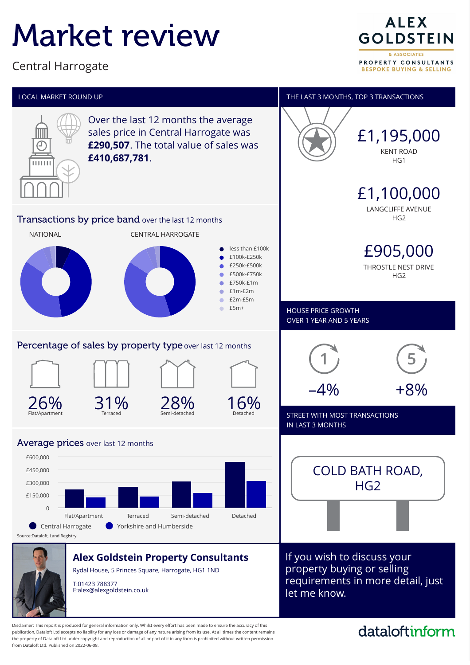# Market review

Central Harrogate

**ALEX GOLDSTEIN** & ASSOCIATES PROPERTY CONSULTANTS **BESPOKE BUYING & SELLING** 



Disclaimer: This report is produced for general information only. Whilst every effort has been made to ensure the accuracy of this publication, Dataloft Ltd accepts no liability for any loss or damage of any nature arising from its use. At all times the content remains the property of Dataloft Ltd under copyright and reproduction of all or part of it in any form is prohibited without written permission from Dataloft Ltd. Published on 2022-06-08.

# dataloftinform